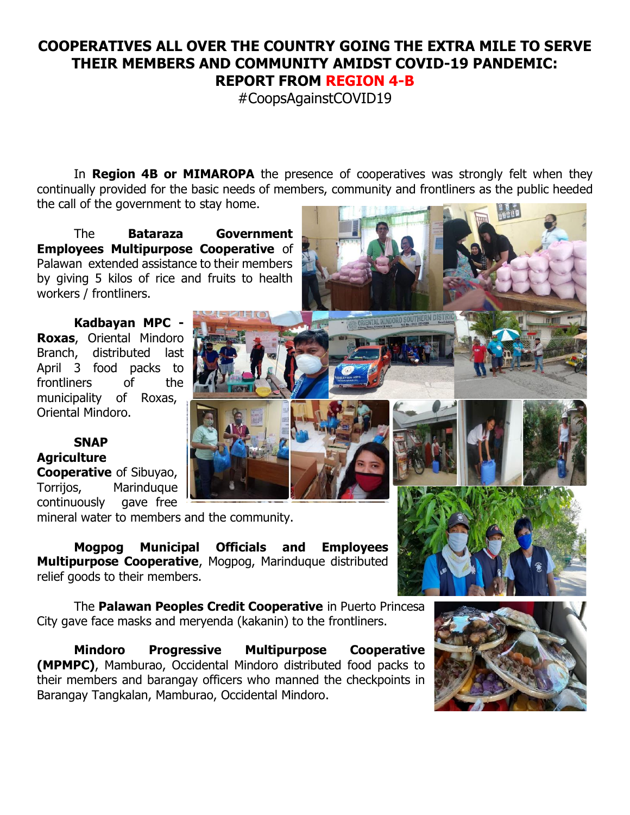## **COOPERATIVES ALL OVER THE COUNTRY GOING THE EXTRA MILE TO SERVE THEIR MEMBERS AND COMMUNITY AMIDST COVID-19 PANDEMIC: REPORT FROM REGION 4-B**

#CoopsAgainstCOVID19

In **Region 4B or MIMAROPA** the presence of cooperatives was strongly felt when they continually provided for the basic needs of members, community and frontliners as the public heeded the call of the government to stay home.

The **Bataraza Government Employees Multipurpose Cooperative** of Palawan extended assistance to their members by giving 5 kilos of rice and fruits to health workers / frontliners.

**Kadbayan MPC - Roxas**, Oriental Mindoro Branch, distributed last April 3 food packs to frontliners of the municipality of Roxas, Oriental Mindoro.

**SNAP Agriculture Cooperative** of Sibuyao, Torrijos, Marinduque continuously gave free

mineral water to members and the community.

**Mogpog Municipal Officials and Employees Multipurpose Cooperative**, Mogpog, Marinduque distributed relief goods to their members.

The **Palawan Peoples Credit Cooperative** in Puerto Princesa City gave face masks and meryenda (kakanin) to the frontliners.

**Mindoro Progressive Multipurpose Cooperative (MPMPC)**, Mamburao, Occidental Mindoro distributed food packs to their members and barangay officers who manned the checkpoints in Barangay Tangkalan, Mamburao, Occidental Mindoro.





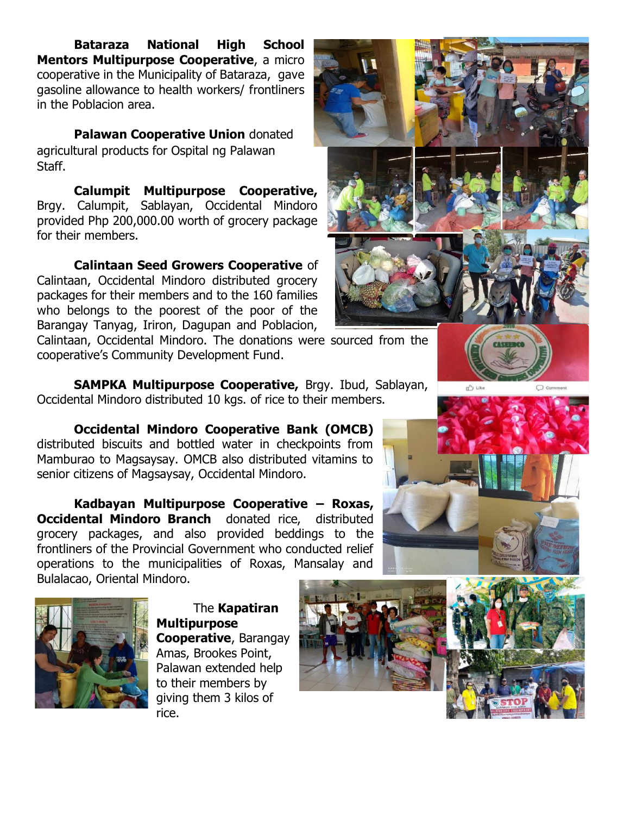**Bataraza National High School Mentors Multipurpose Cooperative**, a micro cooperative in the Municipality of Bataraza, gave gasoline allowance to health workers/ frontliners in the Poblacion area.

**Palawan Cooperative Union** donated agricultural products for Ospital ng Palawan Staff.

**Calumpit Multipurpose Cooperative,** Brgy. Calumpit, Sablayan, Occidental Mindoro provided Php 200,000.00 worth of grocery package for their members.

**Calintaan Seed Growers Cooperative** of Calintaan, Occidental Mindoro distributed grocery packages for their members and to the 160 families who belongs to the poorest of the poor of the Barangay Tanyag, Iriron, Dagupan and Poblacion,

Calintaan, Occidental Mindoro. The donations were sourced from the cooperative's Community Development Fund.

**SAMPKA Multipurpose Cooperative,** Brgy. Ibud, Sablayan, Occidental Mindoro distributed 10 kgs. of rice to their members.

**Occidental Mindoro Cooperative Bank (OMCB)** distributed biscuits and bottled water in checkpoints from Mamburao to Magsaysay. OMCB also distributed vitamins to senior citizens of Magsaysay, Occidental Mindoro.

**Kadbayan Multipurpose Cooperative – Roxas, Occidental Mindoro Branch** donated rice, distributed grocery packages, and also provided beddings to the frontliners of the Provincial Government who conducted relief operations to the municipalities of Roxas, Mansalay and Bulalacao, Oriental Mindoro.



The **Kapatiran Multipurpose Cooperative**, Barangay Amas, Brookes Point, Palawan extended help to their members by giving them 3 kilos of rice.